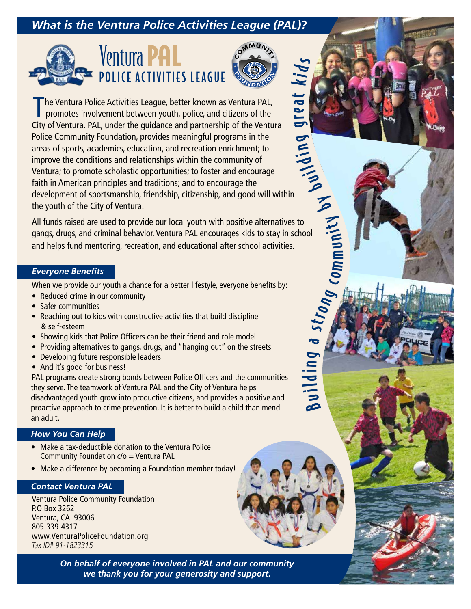# *What is the Ventura Police Activities League (PAL)?*





 $\boldsymbol{\beta}$  $\Rightarrow$ 

ildin

g a

strong

co m  $\boldsymbol{\in}$  $\Rightarrow$ 

nity

 $\tilde{\triangleright}$ 

buildi

 $\epsilon$  $\boldsymbol{\sigma}$  $\boldsymbol{\sigma}$ r e **P** 

 $\blacktriangleright$ i <sup>d</sup><sup>s</sup>

The Ventura Police Activities League, better known as Ventura PAL,<br>promotes involvement between youth, police, and citizens of the City of Ventura. PAL, under the guidance and partnership of the Ventura Police Community Foundation, provides meaningful programs in the areas of sports, academics, education, and recreation enrichment; to improve the conditions and relationships within the community of Ventura; to promote scholastic opportunities; to foster and encourage faith in American principles and traditions; and to encourage the development of sportsmanship, friendship, citizenship, and good will within the youth of the City of Ventura. t

All funds raised are used to provide our local youth with positive alternatives to gangs, drugs, and criminal behavior. Ventura PAL encourages kids to stay in school and helps fund mentoring, recreation, and educational after school activities.

#### *Everyone Benefits*

When we provide our youth a chance for a better lifestyle, everyone benefits by:

- Reduced crime in our community
- Safer communities
- Reaching out to kids with constructive activities that build discipline & self-esteem
- Showing kids that Police Officers can be their friend and role model
- Providing alternatives to gangs, drugs, and "hanging out" on the streets
- Developing future responsible leaders
- And it's good for business!

PAL programs create strong bonds between Police Officers and the communities they serve. The teamwork of Ventura PAL and the City of Ventura helps disadvantaged youth grow into productive citizens, and provides a positive and proactive approach to crime prevention. It is better to build a child than mend an adult.

## *How You Can Help*

- Make a tax-deductible donation to the Ventura Police Community Foundation c/o = Ventura PAL
- Make a difference by becoming a Foundation member today!

## *Contact Ventura PAL*

Ventura Police Community Foundation P.O Box 3262 Ventura, CA 93006 805-339-4317 www.VenturaPoliceFoundation.org *Tax ID# 91-1823315*